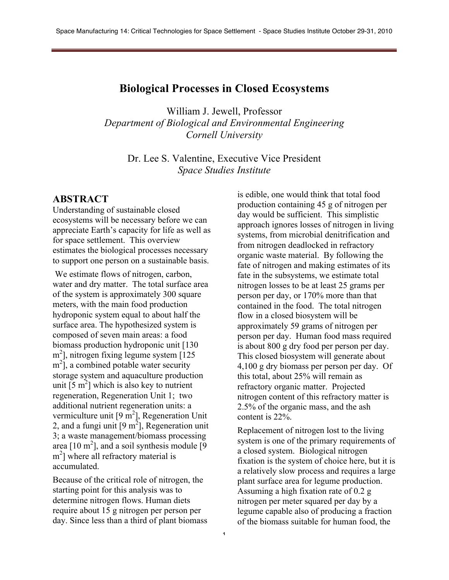#### **Biological Processes in Closed Ecosystems**

William J. Jewell, Professor *Department of Biological and Environmental Engineering Cornell University*

Dr. Lee S. Valentine, Executive Vice President *Space Studies Institute*

1

#### **ABSTRACT**

Understanding of sustainable closed ecosystems will be necessary before we can appreciate Earth's capacity for life as well as for space settlement. This overview estimates the biological processes necessary to support one person on a sustainable basis.

We estimate flows of nitrogen, carbon, water and dry matter. The total surface area of the system is approximately 300 square meters, with the main food production hydroponic system equal to about half the surface area. The hypothesized system is composed of seven main areas: a food biomass production hydroponic unit [130 m<sup>2</sup>], nitrogen fixing legume system [125] m<sup>2</sup>], a combined potable water security storage system and aquaculture production unit  $\left[5 \text{ m}^2\right]$  which is also key to nutrient regeneration, Regeneration Unit 1; two additional nutrient regeneration units: a vermiculture unit  $[9 \text{ m}^2]$ , Regeneration Unit 2, and a fungi unit  $[9 \text{ m}^2]$ , Regeneration unit 3; a waste management/biomass processing area  $[10 \text{ m}^2]$ , and a soil synthesis module  $[9]$ m<sup>2</sup>] where all refractory material is accumulated.

Because of the critical role of nitrogen, the starting point for this analysis was to determine nitrogen flows. Human diets require about 15 g nitrogen per person per day. Since less than a third of plant biomass

is edible, one would think that total food production containing 45 g of nitrogen per day would be sufficient. This simplistic approach ignores losses of nitrogen in living systems, from microbial denitrification and from nitrogen deadlocked in refractory organic waste material. By following the fate of nitrogen and making estimates of its fate in the subsystems, we estimate total nitrogen losses to be at least 25 grams per person per day, or 170% more than that contained in the food. The total nitrogen flow in a closed biosystem will be approximately 59 grams of nitrogen per person per day. Human food mass required is about 800 g dry food per person per day. This closed biosystem will generate about 4,100 g dry biomass per person per day. Of this total, about 25% will remain as refractory organic matter. Projected nitrogen content of this refractory matter is 2.5% of the organic mass, and the ash content is 22%.

Replacement of nitrogen lost to the living system is one of the primary requirements of a closed system. Biological nitrogen fixation is the system of choice here, but it is a relatively slow process and requires a large plant surface area for legume production. Assuming a high fixation rate of 0.2 g nitrogen per meter squared per day by a legume capable also of producing a fraction of the biomass suitable for human food, the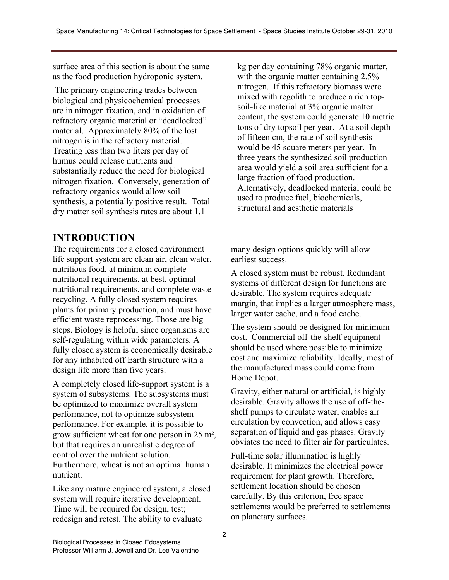surface area of this section is about the same as the food production hydroponic system.

The primary engineering trades between biological and physicochemical processes are in nitrogen fixation, and in oxidation of refractory organic material or "deadlocked" material. Approximately 80% of the lost nitrogen is in the refractory material. Treating less than two liters per day of humus could release nutrients and substantially reduce the need for biological nitrogen fixation. Conversely, generation of refractory organics would allow soil synthesis, a potentially positive result. Total dry matter soil synthesis rates are about 1.1

# **INTRODUCTION**

The requirements for a closed environment life support system are clean air, clean water, nutritious food, at minimum complete nutritional requirements, at best, optimal nutritional requirements, and complete waste recycling. A fully closed system requires plants for primary production, and must have efficient waste reprocessing. Those are big steps. Biology is helpful since organisms are self-regulating within wide parameters. A fully closed system is economically desirable for any inhabited off Earth structure with a design life more than five years.

A completely closed life-support system is a system of subsystems. The subsystems must be optimized to maximize overall system performance, not to optimize subsystem performance. For example, it is possible to grow sufficient wheat for one person in 25 m², but that requires an unrealistic degree of control over the nutrient solution. Furthermore, wheat is not an optimal human nutrient.

Like any mature engineered system, a closed system will require iterative development. Time will be required for design, test; redesign and retest. The ability to evaluate

kg per day containing 78% organic matter, with the organic matter containing 2.5% nitrogen. If this refractory biomass were mixed with regolith to produce a rich topsoil-like material at 3% organic matter content, the system could generate 10 metric tons of dry topsoil per year. At a soil depth of fifteen cm, the rate of soil synthesis would be 45 square meters per year. In three years the synthesized soil production area would yield a soil area sufficient for a large fraction of food production. Alternatively, deadlocked material could be used to produce fuel, biochemicals, structural and aesthetic materials

many design options quickly will allow earliest success.

A closed system must be robust. Redundant systems of different design for functions are desirable. The system requires adequate margin, that implies a larger atmosphere mass, larger water cache, and a food cache.

The system should be designed for minimum cost. Commercial off-the-shelf equipment should be used where possible to minimize cost and maximize reliability. Ideally, most of the manufactured mass could come from Home Depot.

Gravity, either natural or artificial, is highly desirable. Gravity allows the use of off-theshelf pumps to circulate water, enables air circulation by convection, and allows easy separation of liquid and gas phases. Gravity obviates the need to filter air for particulates.

Full-time solar illumination is highly desirable. It minimizes the electrical power requirement for plant growth. Therefore, settlement location should be chosen carefully. By this criterion, free space settlements would be preferred to settlements on planetary surfaces.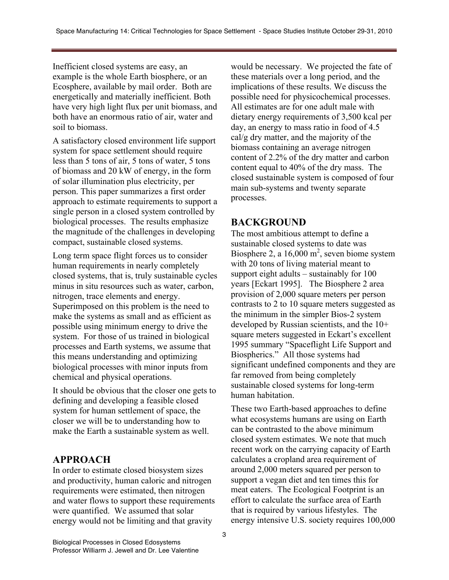Inefficient closed systems are easy, an example is the whole Earth biosphere, or an Ecosphere, available by mail order. Both are energetically and materially inefficient. Both have very high light flux per unit biomass, and both have an enormous ratio of air, water and soil to biomass.

A satisfactory closed environment life support system for space settlement should require less than 5 tons of air, 5 tons of water, 5 tons of biomass and 20 kW of energy, in the form of solar illumination plus electricity, per person. This paper summarizes a first order approach to estimate requirements to support a single person in a closed system controlled by biological processes. The results emphasize the magnitude of the challenges in developing compact, sustainable closed systems.

Long term space flight forces us to consider human requirements in nearly completely closed systems, that is, truly sustainable cycles minus in situ resources such as water, carbon, nitrogen, trace elements and energy. Superimposed on this problem is the need to make the systems as small and as efficient as possible using minimum energy to drive the system. For those of us trained in biological processes and Earth systems, we assume that this means understanding and optimizing biological processes with minor inputs from chemical and physical operations.

It should be obvious that the closer one gets to defining and developing a feasible closed system for human settlement of space, the closer we will be to understanding how to make the Earth a sustainable system as well.

### **APPROACH**

In order to estimate closed biosystem sizes and productivity, human caloric and nitrogen requirements were estimated, then nitrogen and water flows to support these requirements were quantified. We assumed that solar energy would not be limiting and that gravity

would be necessary. We projected the fate of these materials over a long period, and the implications of these results. We discuss the possible need for physicochemical processes. All estimates are for one adult male with dietary energy requirements of 3,500 kcal per day, an energy to mass ratio in food of 4.5 cal/g dry matter, and the majority of the biomass containing an average nitrogen content of 2.2% of the dry matter and carbon content equal to 40% of the dry mass. The closed sustainable system is composed of four main sub-systems and twenty separate processes.

### **BACKGROUND**

The most ambitious attempt to define a sustainable closed systems to date was Biosphere 2, a  $16,000 \text{ m}^2$ , seven biome system with 20 tons of living material meant to support eight adults – sustainably for 100 years [Eckart 1995]. The Biosphere 2 area provision of 2,000 square meters per person contrasts to 2 to 10 square meters suggested as the minimum in the simpler Bios-2 system developed by Russian scientists, and the 10+ square meters suggested in Eckart's excellent 1995 summary "Spaceflight Life Support and Biospherics." All those systems had significant undefined components and they are far removed from being completely sustainable closed systems for long-term human habitation.

These two Earth-based approaches to define what ecosystems humans are using on Earth can be contrasted to the above minimum closed system estimates. We note that much recent work on the carrying capacity of Earth calculates a cropland area requirement of around 2,000 meters squared per person to support a vegan diet and ten times this for meat eaters. The Ecological Footprint is an effort to calculate the surface area of Earth that is required by various lifestyles. The energy intensive U.S. society requires 100,000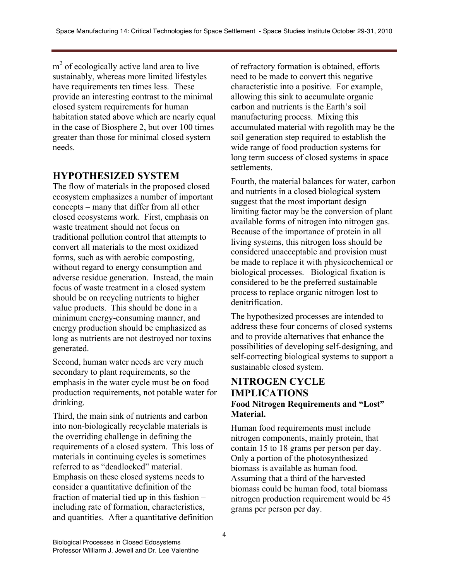$m<sup>2</sup>$  of ecologically active land area to live sustainably, whereas more limited lifestyles have requirements ten times less. These provide an interesting contrast to the minimal closed system requirements for human habitation stated above which are nearly equal in the case of Biosphere 2, but over 100 times greater than those for minimal closed system needs.

## **HYPOTHESIZED SYSTEM**

The flow of materials in the proposed closed ecosystem emphasizes a number of important concepts – many that differ from all other closed ecosystems work. First, emphasis on waste treatment should not focus on traditional pollution control that attempts to convert all materials to the most oxidized forms, such as with aerobic composting, without regard to energy consumption and adverse residue generation. Instead, the main focus of waste treatment in a closed system should be on recycling nutrients to higher value products. This should be done in a minimum energy-consuming manner, and energy production should be emphasized as long as nutrients are not destroyed nor toxins generated.

Second, human water needs are very much secondary to plant requirements, so the emphasis in the water cycle must be on food production requirements, not potable water for drinking.

Third, the main sink of nutrients and carbon into non-biologically recyclable materials is the overriding challenge in defining the requirements of a closed system. This loss of materials in continuing cycles is sometimes referred to as "deadlocked" material. Emphasis on these closed systems needs to consider a quantitative definition of the fraction of material tied up in this fashion – including rate of formation, characteristics, and quantities. After a quantitative definition

of refractory formation is obtained, efforts need to be made to convert this negative characteristic into a positive. For example, allowing this sink to accumulate organic carbon and nutrients is the Earth's soil manufacturing process. Mixing this accumulated material with regolith may be the soil generation step required to establish the wide range of food production systems for long term success of closed systems in space settlements.

Fourth, the material balances for water, carbon and nutrients in a closed biological system suggest that the most important design limiting factor may be the conversion of plant available forms of nitrogen into nitrogen gas. Because of the importance of protein in all living systems, this nitrogen loss should be considered unacceptable and provision must be made to replace it with physicochemical or biological processes. Biological fixation is considered to be the preferred sustainable process to replace organic nitrogen lost to denitrification.

The hypothesized processes are intended to address these four concerns of closed systems and to provide alternatives that enhance the possibilities of developing self-designing, and self-correcting biological systems to support a sustainable closed system.

#### **NITROGEN CYCLE IMPLICATIONS Food Nitrogen Requirements and "Lost" Material.**

Human food requirements must include nitrogen components, mainly protein, that contain 15 to 18 grams per person per day. Only a portion of the photosynthesized biomass is available as human food. Assuming that a third of the harvested biomass could be human food, total biomass nitrogen production requirement would be 45 grams per person per day.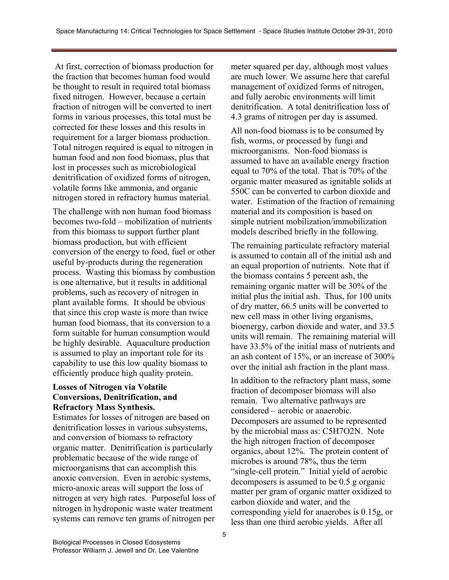At first, correction of biomass production for the fraction that becomes human food would be thought to result in required total biomass fixed nitrogen. However, because a certain fraction of nitrogen will be converted to inert forms in various processes, this total must be corrected for these losses and this results in requirement for a larger biomass production. Total nitrogen required is equal to nitrogen in human food and non food biomass, plus that lost in processes such as microbiological denitrification of oxidized forms of nitrogen, volatile forms like ammonia, and organic nitrogen stored in refractory humus material.

The challenge with non human food biomass becomes two-fold – mobilization of nutrients from this biomass to support further plant biomass production, but with efficient conversion of the energy to food, fuel or other useful by-products during the regeneration process. Wasting this biomass by combustion is one alternative, but it results in additional problems, such as recovery of nitrogen in plant available forms. It should be obvious that since this crop waste is more than twice human food biomass, that its conversion to a form suitable for human consumption would be highly desirable. Aquaculture production is assumed to play an important role for its capability to use this low quality biomass to efficiently produce high quality protein.

#### **Losses of Nitrogen via Volatile Conversions, Denitrification, and Refractory Mass Synthesis.**

Estimates for losses of nitrogen are based on denitrification losses in various subsystems, and conversion of biomass to refractory organic matter. Denitrification is particularly problematic because of the wide range of microorganisms that can accomplish this anoxic conversion. Even in aerobic systems, micro-anoxic areas will support the loss of nitrogen at very high rates. Purposeful loss of nitrogen in hydroponic waste water treatment systems can remove ten grams of nitrogen per

meter squared per day, although most values are much lower. We assume here that careful management of oxidized forms of nitrogen, and fully aerobic environments will limit denitrification. A total denitrification loss of 4.3 grams of nitrogen per day is assumed.

All non-food biomass is to be consumed by fish, worms, or processed by fungi and microorganisms. Non-food biomass is assumed to have an available energy fraction equal to 70% of the total. That is 70% of the organic matter measured as ignitable solids at 550C can be converted to carbon dioxide and water. Estimation of the fraction of remaining material and its composition is based on simple nutrient mobilization/immobilization models described briefly in the following.

The remaining particulate refractory material is assumed to contain all of the initial ash and an equal proportion of nutrients. Note that if the biomass contains 5 percent ash, the remaining organic matter will be 30% of the initial plus the initial ash. Thus, for 100 units of dry matter, 66.5 units will be converted to new cell mass in other living organisms, bioenergy, carbon dioxide and water, and 33.5 units will remain. The remaining material will have 33.5% of the initial mass of nutrients and an ash content of 15%, or an increase of 300% over the initial ash fraction in the plant mass.

In addition to the refractory plant mass, some fraction of decomposer biomass will also remain. Two alternative pathways are considered – aerobic or anaerobic. Decomposers are assumed to be represented by the microbial mass as: C5H7O2N. Note the high nitrogen fraction of decomposer organics, about 12%. The protein content of microbes is around 78%, thus the term "single-cell protein." Initial yield of aerobic decomposers is assumed to be 0.5 g organic matter per gram of organic matter oxidized to carbon dioxide and water, and the corresponding yield for anaerobes is 0.15g, or less than one third aerobic yields. After all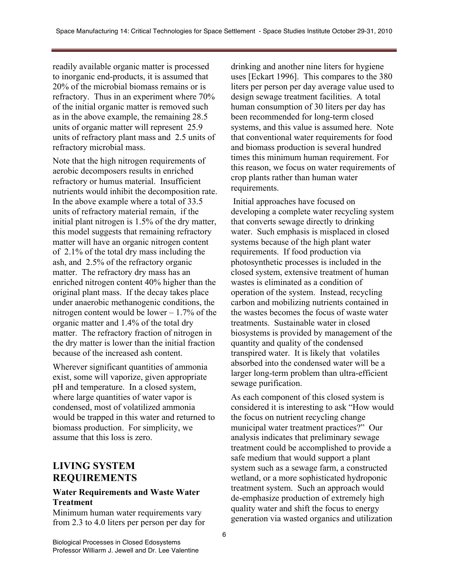readily available organic matter is processed to inorganic end-products, it is assumed that 20% of the microbial biomass remains or is refractory. Thus in an experiment where 70% of the initial organic matter is removed such as in the above example, the remaining 28.5 units of organic matter will represent 25.9 units of refractory plant mass and 2.5 units of refractory microbial mass.

Note that the high nitrogen requirements of aerobic decomposers results in enriched refractory or humus material. Insufficient nutrients would inhibit the decomposition rate. In the above example where a total of 33.5 units of refractory material remain, if the initial plant nitrogen is 1.5% of the dry matter, this model suggests that remaining refractory matter will have an organic nitrogen content of 2.1% of the total dry mass including the ash, and 2.5% of the refractory organic matter. The refractory dry mass has an enriched nitrogen content 40% higher than the original plant mass. If the decay takes place under anaerobic methanogenic conditions, the nitrogen content would be lower  $-1.7\%$  of the organic matter and 1.4% of the total dry matter. The refractory fraction of nitrogen in the dry matter is lower than the initial fraction because of the increased ash content.

Wherever significant quantities of ammonia exist, some will vaporize, given appropriate pH and temperature. In a closed system, where large quantities of water vapor is condensed, most of volatilized ammonia would be trapped in this water and returned to biomass production. For simplicity, we assume that this loss is zero.

### **LIVING SYSTEM REQUIREMENTS**

#### **Water Requirements and Waste Water Treatment**

Minimum human water requirements vary from 2.3 to 4.0 liters per person per day for drinking and another nine liters for hygiene uses [Eckart 1996]. This compares to the 380 liters per person per day average value used to design sewage treatment facilities. A total human consumption of 30 liters per day has been recommended for long-term closed systems, and this value is assumed here. Note that conventional water requirements for food and biomass production is several hundred times this minimum human requirement. For this reason, we focus on water requirements of crop plants rather than human water requirements.

Initial approaches have focused on developing a complete water recycling system that converts sewage directly to drinking water. Such emphasis is misplaced in closed systems because of the high plant water requirements. If food production via photosynthetic processes is included in the closed system, extensive treatment of human wastes is eliminated as a condition of operation of the system. Instead, recycling carbon and mobilizing nutrients contained in the wastes becomes the focus of waste water treatments. Sustainable water in closed biosystems is provided by management of the quantity and quality of the condensed transpired water. It is likely that volatiles absorbed into the condensed water will be a larger long-term problem than ultra-efficient sewage purification.

As each component of this closed system is considered it is interesting to ask "How would the focus on nutrient recycling change municipal water treatment practices?" Our analysis indicates that preliminary sewage treatment could be accomplished to provide a safe medium that would support a plant system such as a sewage farm, a constructed wetland, or a more sophisticated hydroponic treatment system. Such an approach would de-emphasize production of extremely high quality water and shift the focus to energy generation via wasted organics and utilization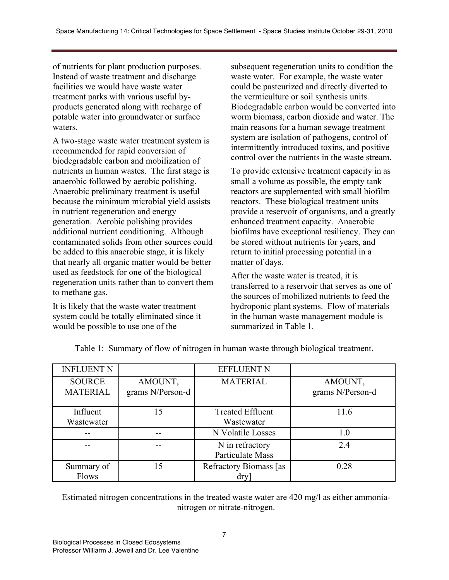of nutrients for plant production purposes. Instead of waste treatment and discharge facilities we would have waste water treatment parks with various useful byproducts generated along with recharge of potable water into groundwater or surface waters.

A two-stage waste water treatment system is recommended for rapid conversion of biodegradable carbon and mobilization of nutrients in human wastes. The first stage is anaerobic followed by aerobic polishing. Anaerobic preliminary treatment is useful because the minimum microbial yield assists in nutrient regeneration and energy generation. Aerobic polishing provides additional nutrient conditioning. Although contaminated solids from other sources could be added to this anaerobic stage, it is likely that nearly all organic matter would be better used as feedstock for one of the biological regeneration units rather than to convert them to methane gas.

It is likely that the waste water treatment system could be totally eliminated since it would be possible to use one of the

subsequent regeneration units to condition the waste water. For example, the waste water could be pasteurized and directly diverted to the vermiculture or soil synthesis units. Biodegradable carbon would be converted into worm biomass, carbon dioxide and water. The main reasons for a human sewage treatment system are isolation of pathogens, control of intermittently introduced toxins, and positive control over the nutrients in the waste stream.

To provide extensive treatment capacity in as small a volume as possible, the empty tank reactors are supplemented with small biofilm reactors. These biological treatment units provide a reservoir of organisms, and a greatly enhanced treatment capacity. Anaerobic biofilms have exceptional resiliency. They can be stored without nutrients for years, and return to initial processing potential in a matter of days.

After the waste water is treated, it is transferred to a reservoir that serves as one of the sources of mobilized nutrients to feed the hydroponic plant systems. Flow of materials in the human waste management module is summarized in Table 1.

| <b>INFLUENT N</b>                |                             | <b>EFFLUENT N</b>                     |                             |
|----------------------------------|-----------------------------|---------------------------------------|-----------------------------|
| <b>SOURCE</b><br><b>MATERIAL</b> | AMOUNT,<br>grams N/Person-d | <b>MATERIAL</b>                       | AMOUNT,<br>grams N/Person-d |
| Influent<br>Wastewater           | 15                          | <b>Treated Effluent</b><br>Wastewater | 11.6                        |
|                                  |                             | N Volatile Losses                     | 1.0                         |
|                                  |                             | N in refractory<br>Particulate Mass   | 2.4                         |
| Summary of<br>Flows              | ۱۲                          | Refractory Biomass [as<br>dry         | 0.28                        |

Table 1: Summary of flow of nitrogen in human waste through biological treatment.

Estimated nitrogen concentrations in the treated waste water are 420 mg/l as either ammonianitrogen or nitrate-nitrogen.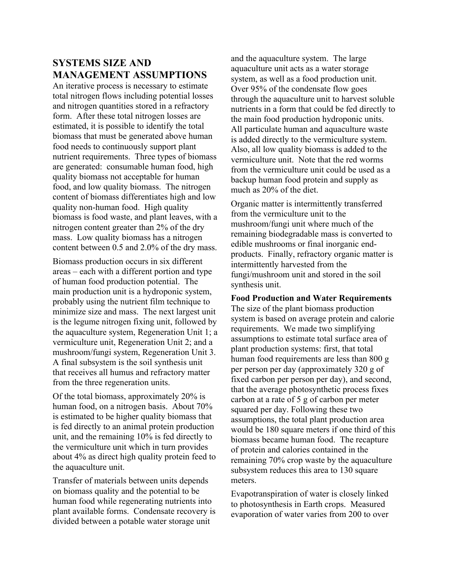## **SYSTEMS SIZE AND MANAGEMENT ASSUMPTIONS**

An iterative process is necessary to estimate total nitrogen flows including potential losses and nitrogen quantities stored in a refractory form. After these total nitrogen losses are estimated, it is possible to identify the total biomass that must be generated above human food needs to continuously support plant nutrient requirements. Three types of biomass are generated: consumable human food, high quality biomass not acceptable for human food, and low quality biomass. The nitrogen content of biomass differentiates high and low quality non-human food. High quality biomass is food waste, and plant leaves, with a nitrogen content greater than 2% of the dry mass. Low quality biomass has a nitrogen content between 0.5 and 2.0% of the dry mass.

Biomass production occurs in six different areas – each with a different portion and type of human food production potential. The main production unit is a hydroponic system, probably using the nutrient film technique to minimize size and mass. The next largest unit is the legume nitrogen fixing unit, followed by the aquaculture system, Regeneration Unit 1; a vermiculture unit, Regeneration Unit 2; and a mushroom/fungi system, Regeneration Unit 3. A final subsystem is the soil synthesis unit that receives all humus and refractory matter from the three regeneration units.

Of the total biomass, approximately 20% is human food, on a nitrogen basis. About 70% is estimated to be higher quality biomass that is fed directly to an animal protein production unit, and the remaining 10% is fed directly to the vermiculture unit which in turn provides about 4% as direct high quality protein feed to the aquaculture unit.

Transfer of materials between units depends on biomass quality and the potential to be human food while regenerating nutrients into plant available forms. Condensate recovery is divided between a potable water storage unit

and the aquaculture system. The large aquaculture unit acts as a water storage system, as well as a food production unit. Over 95% of the condensate flow goes through the aquaculture unit to harvest soluble nutrients in a form that could be fed directly to the main food production hydroponic units. All particulate human and aquaculture waste is added directly to the vermiculture system. Also, all low quality biomass is added to the vermiculture unit. Note that the red worms from the vermiculture unit could be used as a backup human food protein and supply as much as 20% of the diet.

Organic matter is intermittently transferred from the vermiculture unit to the mushroom/fungi unit where much of the remaining biodegradable mass is converted to edible mushrooms or final inorganic endproducts. Finally, refractory organic matter is intermittently harvested from the fungi/mushroom unit and stored in the soil synthesis unit.

#### **Food Production and Water Requirements**

The size of the plant biomass production system is based on average protein and calorie requirements. We made two simplifying assumptions to estimate total surface area of plant production systems: first, that total human food requirements are less than 800 g per person per day (approximately 320 g of fixed carbon per person per day), and second, that the average photosynthetic process fixes carbon at a rate of 5 g of carbon per meter squared per day. Following these two assumptions, the total plant production area would be 180 square meters if one third of this biomass became human food. The recapture of protein and calories contained in the remaining 70% crop waste by the aquaculture subsystem reduces this area to 130 square meters.

Evapotranspiration of water is closely linked to photosynthesis in Earth crops. Measured evaporation of water varies from 200 to over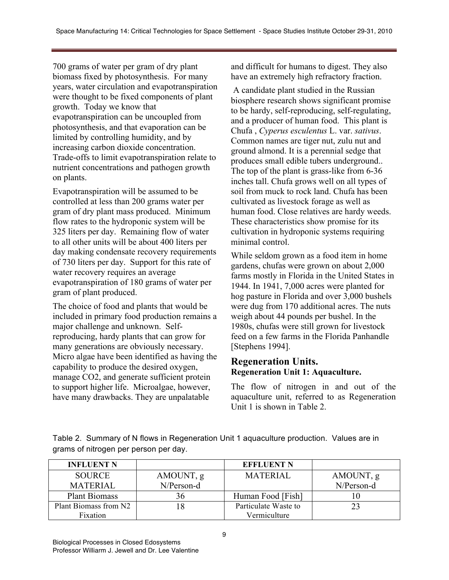700 grams of water per gram of dry plant biomass fixed by photosynthesis. For many years, water circulation and evapotranspiration were thought to be fixed components of plant growth. Today we know that evapotranspiration can be uncoupled from photosynthesis, and that evaporation can be limited by controlling humidity, and by increasing carbon dioxide concentration. Trade-offs to limit evapotranspiration relate to nutrient concentrations and pathogen growth on plants.

Evapotranspiration will be assumed to be controlled at less than 200 grams water per gram of dry plant mass produced. Minimum flow rates to the hydroponic system will be 325 liters per day. Remaining flow of water to all other units will be about 400 liters per day making condensate recovery requirements of 730 liters per day. Support for this rate of water recovery requires an average evapotranspiration of 180 grams of water per gram of plant produced.

The choice of food and plants that would be included in primary food production remains a major challenge and unknown. Selfreproducing, hardy plants that can grow for many generations are obviously necessary. Micro algae have been identified as having the capability to produce the desired oxygen, manage CO2, and generate sufficient protein to support higher life. Microalgae, however, have many drawbacks. They are unpalatable

and difficult for humans to digest. They also have an extremely high refractory fraction.

A candidate plant studied in the Russian biosphere research shows significant promise to be hardy, self-reproducing, self-regulating, and a producer of human food. This plant is Chufa , *Cyperus esculentus* L. var. *sativus*. Common names are tiger nut, zulu nut and ground almond. It is a perennial sedge that produces small edible tubers underground.. The top of the plant is grass-like from 6-36 inches tall. Chufa grows well on all types of soil from muck to rock land. Chufa has been cultivated as livestock forage as well as human food. Close relatives are hardy weeds. These characteristics show promise for its cultivation in hydroponic systems requiring minimal control.

While seldom grown as a food item in home gardens, chufas were grown on about 2,000 farms mostly in Florida in the United States in 1944. In 1941, 7,000 acres were planted for hog pasture in Florida and over 3,000 bushels were dug from 170 additional acres. The nuts weigh about 44 pounds per bushel. In the 1980s, chufas were still grown for livestock feed on a few farms in the Florida Panhandle [Stephens 1994].

### **Regeneration Units. Regeneration Unit 1: Aquaculture.**

The flow of nitrogen in and out of the aquaculture unit, referred to as Regeneration Unit 1 is shown in Table 2.

Table 2. Summary of N flows in Regeneration Unit 1 aquaculture production. Values are in grams of nitrogen per person per day.

| <b>INFLUENT N</b>     |            | <b>EFFLUENT N</b>    |            |
|-----------------------|------------|----------------------|------------|
| <b>SOURCE</b>         | AMOUNT, g  | <b>MATERIAL</b>      | AMOUNT, g  |
| <b>MATERIAL</b>       | N/Person-d |                      | N/Person-d |
| <b>Plant Biomass</b>  | 36         | Human Food [Fish]    |            |
| Plant Biomass from N2 | 18         | Particulate Waste to |            |
| Fixation              |            | Vermiculture         |            |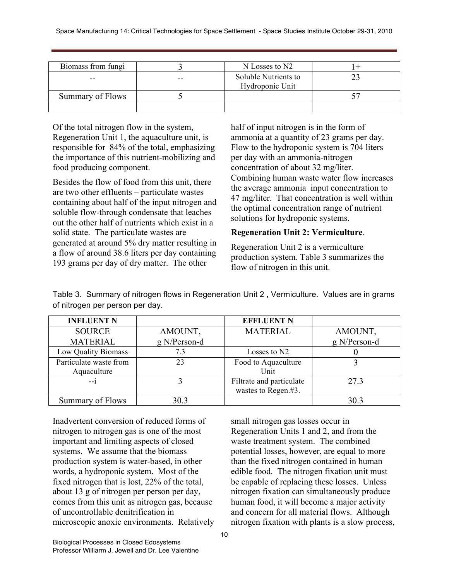| Biomass from fungi |       | N Losses to N2                          |  |
|--------------------|-------|-----------------------------------------|--|
| --                 | $- -$ | Soluble Nutrients to<br>Hydroponic Unit |  |
| Summary of Flows   |       |                                         |  |
|                    |       |                                         |  |

Of the total nitrogen flow in the system, Regeneration Unit 1, the aquaculture unit, is responsible for 84% of the total, emphasizing the importance of this nutrient-mobilizing and food producing component.

Besides the flow of food from this unit, there are two other effluents – particulate wastes containing about half of the input nitrogen and soluble flow-through condensate that leaches out the other half of nutrients which exist in a solid state. The particulate wastes are generated at around 5% dry matter resulting in a flow of around 38.6 liters per day containing 193 grams per day of dry matter. The other

half of input nitrogen is in the form of ammonia at a quantity of 23 grams per day. Flow to the hydroponic system is 704 liters per day with an ammonia-nitrogen concentration of about 32 mg/liter. Combining human waste water flow increases the average ammonia input concentration to 47 mg/liter. That concentration is well within the optimal concentration range of nutrient solutions for hydroponic systems.

#### **Regeneration Unit 2: Vermiculture**.

Regeneration Unit 2 is a vermiculture production system. Table 3 summarizes the flow of nitrogen in this unit.

Table 3. Summary of nitrogen flows in Regeneration Unit 2 , Vermiculture. Values are in grams of nitrogen per person per day.

| <b>INFLUENT N</b>      |              | <b>EFFLUENT N</b>        |              |
|------------------------|--------------|--------------------------|--------------|
| <b>SOURCE</b>          | AMOUNT,      | <b>MATERIAL</b>          | AMOUNT,      |
| <b>MATERIAL</b>        | g N/Person-d |                          | g N/Person-d |
| Low Quality Biomass    | 7.3          | Losses to N2             |              |
| Particulate waste from | 23           | Food to Aquaculture      |              |
| Aquaculture            |              | Unit                     |              |
| $-1$                   |              | Filtrate and particulate | 27.3         |
|                        |              | wastes to Regen.#3.      |              |
| Summary of Flows       | 30.3         |                          | 30.3         |

Inadvertent conversion of reduced forms of nitrogen to nitrogen gas is one of the most important and limiting aspects of closed systems. We assume that the biomass production system is water-based, in other words, a hydroponic system. Most of the fixed nitrogen that is lost, 22% of the total, about 13 g of nitrogen per person per day, comes from this unit as nitrogen gas, because of uncontrollable denitrification in microscopic anoxic environments. Relatively small nitrogen gas losses occur in Regeneration Units 1 and 2, and from the waste treatment system. The combined potential losses, however, are equal to more than the fixed nitrogen contained in human edible food. The nitrogen fixation unit must be capable of replacing these losses. Unless nitrogen fixation can simultaneously produce human food, it will become a major activity and concern for all material flows. Although nitrogen fixation with plants is a slow process,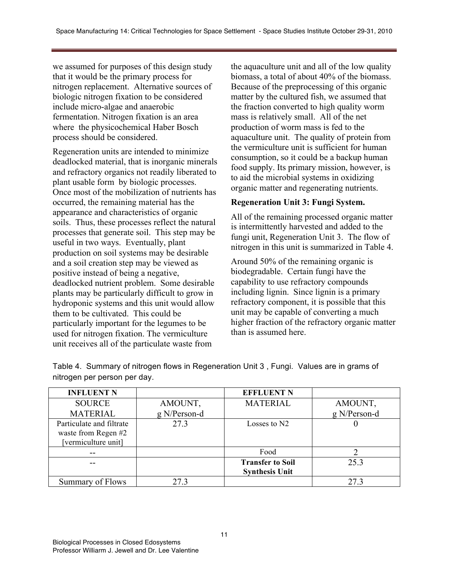we assumed for purposes of this design study that it would be the primary process for nitrogen replacement. Alternative sources of biologic nitrogen fixation to be considered include micro-algae and anaerobic fermentation. Nitrogen fixation is an area where the physicochemical Haber Bosch process should be considered.

Regeneration units are intended to minimize deadlocked material, that is inorganic minerals and refractory organics not readily liberated to plant usable form by biologic processes. Once most of the mobilization of nutrients has occurred, the remaining material has the appearance and characteristics of organic soils. Thus, these processes reflect the natural processes that generate soil. This step may be useful in two ways. Eventually, plant production on soil systems may be desirable and a soil creation step may be viewed as positive instead of being a negative, deadlocked nutrient problem. Some desirable plants may be particularly difficult to grow in hydroponic systems and this unit would allow them to be cultivated. This could be particularly important for the legumes to be used for nitrogen fixation. The vermiculture unit receives all of the particulate waste from

the aquaculture unit and all of the low quality biomass, a total of about 40% of the biomass. Because of the preprocessing of this organic matter by the cultured fish, we assumed that the fraction converted to high quality worm mass is relatively small. All of the net production of worm mass is fed to the aquaculture unit. The quality of protein from the vermiculture unit is sufficient for human consumption, so it could be a backup human food supply. Its primary mission, however, is to aid the microbial systems in oxidizing organic matter and regenerating nutrients.

#### **Regeneration Unit 3: Fungi System.**

All of the remaining processed organic matter is intermittently harvested and added to the fungi unit, Regeneration Unit 3. The flow of nitrogen in this unit is summarized in Table 4.

Around 50% of the remaining organic is biodegradable. Certain fungi have the capability to use refractory compounds including lignin. Since lignin is a primary refractory component, it is possible that this unit may be capable of converting a much higher fraction of the refractory organic matter than is assumed here.

| <b>INFLUENT N</b>                                                      |              | <b>EFFLUENT N</b>                                |              |
|------------------------------------------------------------------------|--------------|--------------------------------------------------|--------------|
| <b>SOURCE</b>                                                          | AMOUNT,      | <b>MATERIAL</b>                                  | AMOUNT,      |
| <b>MATERIAL</b>                                                        | g N/Person-d |                                                  | g N/Person-d |
| Particulate and filtrate<br>waste from Regen #2<br>[vermiculture unit] | 27.3         | Losses to N <sub>2</sub>                         |              |
| --                                                                     |              | Food                                             |              |
|                                                                        |              | <b>Transfer to Soil</b><br><b>Synthesis Unit</b> | 25.3         |
| Summary of Flows                                                       | 273          |                                                  | 273          |

Table 4. Summary of nitrogen flows in Regeneration Unit 3 , Fungi. Values are in grams of nitrogen per person per day.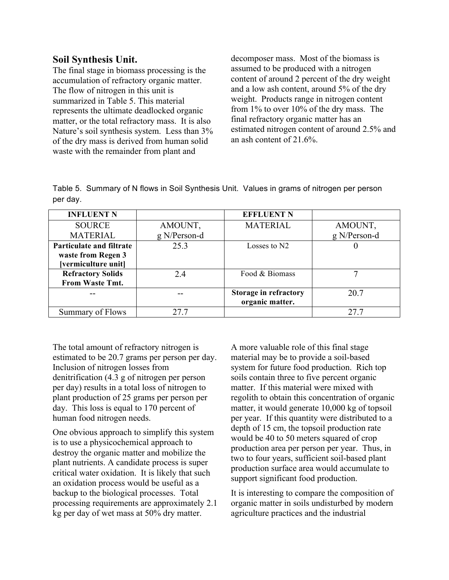#### **Soil Synthesis Unit.**

The final stage in biomass processing is the accumulation of refractory organic matter. The flow of nitrogen in this unit is summarized in Table 5. This material represents the ultimate deadlocked organic matter, or the total refractory mass. It is also Nature's soil synthesis system. Less than 3% of the dry mass is derived from human solid waste with the remainder from plant and

decomposer mass. Most of the biomass is assumed to be produced with a nitrogen content of around 2 percent of the dry weight and a low ash content, around 5% of the dry weight. Products range in nitrogen content from 1% to over 10% of the dry mass. The final refractory organic matter has an estimated nitrogen content of around 2.5% and an ash content of 21.6%.

Table 5. Summary of N flows in Soil Synthesis Unit. Values in grams of nitrogen per person per day.

| <b>INFLUENT N</b>               |              | <b>EFFLUENT N</b>            |              |
|---------------------------------|--------------|------------------------------|--------------|
| <b>SOURCE</b>                   | AMOUNT,      | <b>MATERIAL</b>              | AMOUNT,      |
| <b>MATERIAL</b>                 | g N/Person-d |                              | g N/Person-d |
| <b>Particulate and filtrate</b> | 25.3         | Losses to N2                 |              |
| waste from Regen 3              |              |                              |              |
| [vermiculture unit]             |              |                              |              |
| <b>Refractory Solids</b>        | 2.4          | Food & Biomass               |              |
| From Waste Tmt.                 |              |                              |              |
|                                 |              | <b>Storage in refractory</b> | 20.7         |
|                                 |              | organic matter.              |              |
| Summary of Flows                | 27.7         |                              | 27.7         |

The total amount of refractory nitrogen is estimated to be 20.7 grams per person per day. Inclusion of nitrogen losses from denitrification (4.3 g of nitrogen per person per day) results in a total loss of nitrogen to plant production of 25 grams per person per day. This loss is equal to 170 percent of human food nitrogen needs.

One obvious approach to simplify this system is to use a physicochemical approach to destroy the organic matter and mobilize the plant nutrients. A candidate process is super critical water oxidation. It is likely that such an oxidation process would be useful as a backup to the biological processes. Total processing requirements are approximately 2.1 kg per day of wet mass at 50% dry matter.

A more valuable role of this final stage material may be to provide a soil-based system for future food production. Rich top soils contain three to five percent organic matter. If this material were mixed with regolith to obtain this concentration of organic matter, it would generate 10,000 kg of topsoil per year. If this quantity were distributed to a depth of 15 cm, the topsoil production rate would be 40 to 50 meters squared of crop production area per person per year. Thus, in two to four years, sufficient soil-based plant production surface area would accumulate to support significant food production.

It is interesting to compare the composition of organic matter in soils undisturbed by modern agriculture practices and the industrial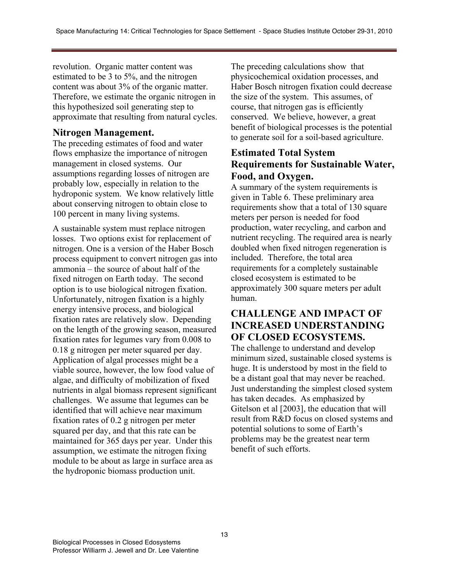revolution. Organic matter content was estimated to be 3 to 5%, and the nitrogen content was about 3% of the organic matter. Therefore, we estimate the organic nitrogen in this hypothesized soil generating step to approximate that resulting from natural cycles.

### **Nitrogen Management.**

The preceding estimates of food and water flows emphasize the importance of nitrogen management in closed systems. Our assumptions regarding losses of nitrogen are probably low, especially in relation to the hydroponic system. We know relatively little about conserving nitrogen to obtain close to 100 percent in many living systems.

A sustainable system must replace nitrogen losses. Two options exist for replacement of nitrogen. One is a version of the Haber Bosch process equipment to convert nitrogen gas into ammonia – the source of about half of the fixed nitrogen on Earth today. The second option is to use biological nitrogen fixation. Unfortunately, nitrogen fixation is a highly energy intensive process, and biological fixation rates are relatively slow. Depending on the length of the growing season, measured fixation rates for legumes vary from 0.008 to 0.18 g nitrogen per meter squared per day. Application of algal processes might be a viable source, however, the low food value of algae, and difficulty of mobilization of fixed nutrients in algal biomass represent significant challenges. We assume that legumes can be identified that will achieve near maximum fixation rates of 0.2 g nitrogen per meter squared per day, and that this rate can be maintained for 365 days per year. Under this assumption, we estimate the nitrogen fixing module to be about as large in surface area as the hydroponic biomass production unit.

The preceding calculations show that physicochemical oxidation processes, and Haber Bosch nitrogen fixation could decrease the size of the system. This assumes, of course, that nitrogen gas is efficiently conserved. We believe, however, a great benefit of biological processes is the potential to generate soil for a soil-based agriculture.

### **Estimated Total System Requirements for Sustainable Water, Food, and Oxygen.**

A summary of the system requirements is given in Table 6. These preliminary area requirements show that a total of 130 square meters per person is needed for food production, water recycling, and carbon and nutrient recycling. The required area is nearly doubled when fixed nitrogen regeneration is included. Therefore, the total area requirements for a completely sustainable closed ecosystem is estimated to be approximately 300 square meters per adult human.

# **CHALLENGE AND IMPACT OF INCREASED UNDERSTANDING OF CLOSED ECOSYSTEMS.**

The challenge to understand and develop minimum sized, sustainable closed systems is huge. It is understood by most in the field to be a distant goal that may never be reached. Just understanding the simplest closed system has taken decades. As emphasized by Gitelson et al [2003], the education that will result from R&D focus on closed systems and potential solutions to some of Earth's problems may be the greatest near term benefit of such efforts.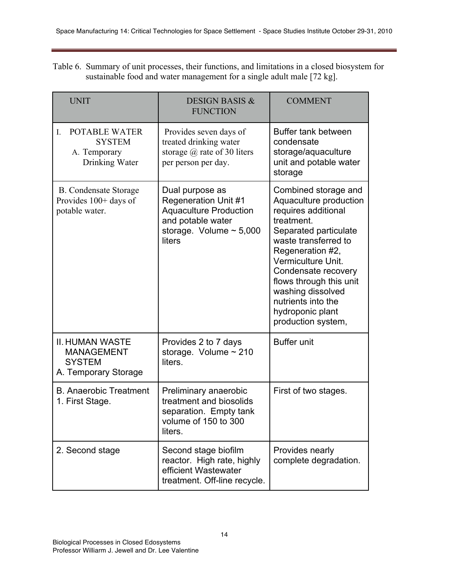Table 6. Summary of unit processes, their functions, and limitations in a closed biosystem for sustainable food and water management for a single adult male [72 kg].

| <b>UNIT</b>                                                                          | <b>DESIGN BASIS &amp;</b><br><b>FUNCTION</b>                                                                                                   | <b>COMMENT</b>                                                                                                                                                                                                                                                                                                        |
|--------------------------------------------------------------------------------------|------------------------------------------------------------------------------------------------------------------------------------------------|-----------------------------------------------------------------------------------------------------------------------------------------------------------------------------------------------------------------------------------------------------------------------------------------------------------------------|
| <b>POTABLE WATER</b><br>I.<br><b>SYSTEM</b><br>A. Temporary<br>Drinking Water        | Provides seven days of<br>treated drinking water<br>storage $\omega$ rate of 30 liters<br>per person per day.                                  | Buffer tank between<br>condensate<br>storage/aquaculture<br>unit and potable water<br>storage                                                                                                                                                                                                                         |
| <b>B.</b> Condensate Storage<br>Provides 100+ days of<br>potable water.              | Dual purpose as<br><b>Regeneration Unit #1</b><br><b>Aquaculture Production</b><br>and potable water<br>storage. Volume $\sim 5,000$<br>liters | Combined storage and<br>Aquaculture production<br>requires additional<br>treatment.<br>Separated particulate<br>waste transferred to<br>Regeneration #2,<br>Vermiculture Unit.<br>Condensate recovery<br>flows through this unit<br>washing dissolved<br>nutrients into the<br>hydroponic plant<br>production system, |
| <b>II. HUMAN WASTE</b><br><b>MANAGEMENT</b><br><b>SYSTEM</b><br>A. Temporary Storage | Provides 2 to 7 days<br>storage. Volume $\sim$ 210<br>liters.                                                                                  | <b>Buffer unit</b>                                                                                                                                                                                                                                                                                                    |
| <b>B.</b> Anaerobic Treatment<br>1. First Stage.                                     | Preliminary anaerobic<br>treatment and biosolids<br>separation. Empty tank<br>volume of 150 to 300<br>liters.                                  | First of two stages.                                                                                                                                                                                                                                                                                                  |
| 2. Second stage                                                                      | Second stage biofilm<br>reactor. High rate, highly<br>efficient Wastewater<br>treatment. Off-line recycle.                                     | Provides nearly<br>complete degradation.                                                                                                                                                                                                                                                                              |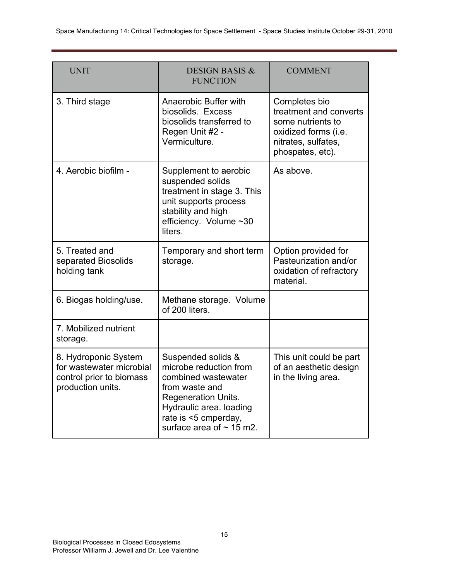| <b>UNIT</b>                                                                                       | <b>DESIGN BASIS &amp;</b><br><b>FUNCTION</b>                                                                                                                                                            | <b>COMMENT</b>                                                                                                                  |
|---------------------------------------------------------------------------------------------------|---------------------------------------------------------------------------------------------------------------------------------------------------------------------------------------------------------|---------------------------------------------------------------------------------------------------------------------------------|
| 3. Third stage                                                                                    | Anaerobic Buffer with<br>biosolids. Excess<br>biosolids transferred to<br>Regen Unit #2 -<br>Vermiculture.                                                                                              | Completes bio<br>treatment and converts<br>some nutrients to<br>oxidized forms (i.e.<br>nitrates, sulfates,<br>phospates, etc). |
| 4. Aerobic biofilm -                                                                              | Supplement to aerobic<br>suspended solids<br>treatment in stage 3. This<br>unit supports process<br>stability and high<br>efficiency. Volume ~30<br>liters.                                             | As above.                                                                                                                       |
| 5. Treated and<br>separated Biosolids<br>holding tank                                             | Temporary and short term<br>storage.                                                                                                                                                                    | Option provided for<br>Pasteurization and/or<br>oxidation of refractory<br>material.                                            |
| 6. Biogas holding/use.                                                                            | Methane storage. Volume<br>of 200 liters.                                                                                                                                                               |                                                                                                                                 |
| 7. Mobilized nutrient<br>storage.                                                                 |                                                                                                                                                                                                         |                                                                                                                                 |
| 8. Hydroponic System<br>for wastewater microbial<br>control prior to biomass<br>production units. | Suspended solids &<br>microbe reduction from<br>combined wastewater<br>from waste and<br><b>Regeneration Units.</b><br>Hydraulic area. loading<br>rate is <5 cmperday,<br>surface area of $\sim$ 15 m2. | This unit could be part<br>of an aesthetic design<br>in the living area.                                                        |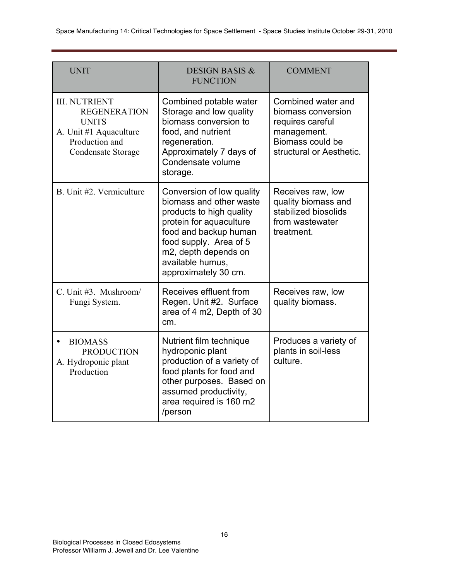| <b>UNIT</b>                                                                                                                   | <b>DESIGN BASIS &amp;</b><br><b>FUNCTION</b>                                                                                                                                                                                       | <b>COMMENT</b>                                                                                                              |
|-------------------------------------------------------------------------------------------------------------------------------|------------------------------------------------------------------------------------------------------------------------------------------------------------------------------------------------------------------------------------|-----------------------------------------------------------------------------------------------------------------------------|
| <b>III. NUTRIENT</b><br><b>REGENERATION</b><br><b>UNITS</b><br>A. Unit #1 Aquaculture<br>Production and<br>Condensate Storage | Combined potable water<br>Storage and low quality<br>biomass conversion to<br>food, and nutrient<br>regeneration.<br>Approximately 7 days of<br>Condensate volume<br>storage.                                                      | Combined water and<br>biomass conversion<br>requires careful<br>management.<br>Biomass could be<br>structural or Aesthetic. |
| B. Unit #2. Vermiculture                                                                                                      | Conversion of low quality<br>biomass and other waste<br>products to high quality<br>protein for aquaculture<br>food and backup human<br>food supply. Area of 5<br>m2, depth depends on<br>available humus,<br>approximately 30 cm. | Receives raw, low<br>quality biomass and<br>stabilized biosolids<br>from wastewater<br>treatment.                           |
| C. Unit #3. Mushroom/<br>Fungi System.                                                                                        | Receives effluent from<br>Regen. Unit #2. Surface<br>area of 4 m2, Depth of 30<br>cm.                                                                                                                                              | Receives raw, low<br>quality biomass.                                                                                       |
| <b>BIOMASS</b><br>$\bullet$<br><b>PRODUCTION</b><br>A. Hydroponic plant<br>Production                                         | Nutrient film technique<br>hydroponic plant<br>production of a variety of<br>food plants for food and<br>other purposes. Based on<br>assumed productivity,<br>area required is 160 m2<br>/person                                   | Produces a variety of<br>plants in soil-less<br>culture.                                                                    |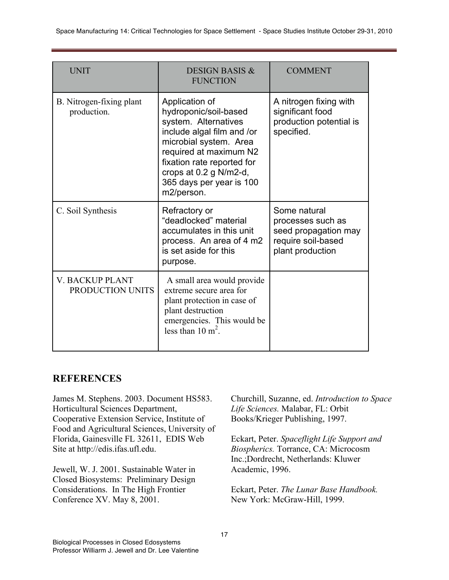| <b>UNIT</b>                                | <b>DESIGN BASIS &amp;</b><br><b>FUNCTION</b>                                                                                                                                                                                                        | <b>COMMENT</b>                                                                                      |
|--------------------------------------------|-----------------------------------------------------------------------------------------------------------------------------------------------------------------------------------------------------------------------------------------------------|-----------------------------------------------------------------------------------------------------|
| B. Nitrogen-fixing plant<br>production.    | Application of<br>hydroponic/soil-based<br>system. Alternatives<br>include algal film and /or<br>microbial system. Area<br>required at maximum N2<br>fixation rate reported for<br>crops at 0.2 g N/m2-d,<br>365 days per year is 100<br>m2/person. | A nitrogen fixing with<br>significant food<br>production potential is<br>specified.                 |
| C. Soil Synthesis                          | Refractory or<br>"deadlocked" material<br>accumulates in this unit<br>process. An area of 4 m2<br>is set aside for this<br>purpose.                                                                                                                 | Some natural<br>processes such as<br>seed propagation may<br>require soil-based<br>plant production |
| <b>V. BACKUP PLANT</b><br>PRODUCTION UNITS | A small area would provide<br>extreme secure area for<br>plant protection in case of<br>plant destruction<br>emergencies. This would be<br>less than $10 \text{ m}^2$ .                                                                             |                                                                                                     |

### **REFERENCES**

James M. Stephens. 2003. Document HS583. Horticultural Sciences Department, Cooperative Extension Service, Institute of Food and Agricultural Sciences, University of Florida, Gainesville FL 32611, EDIS Web Site at http://edis.ifas.ufl.edu.

Jewell, W. J. 2001. Sustainable Water in Closed Biosystems: Preliminary Design Considerations. In The High Frontier Conference XV. May 8, 2001.

Churchill, Suzanne, ed. *Introduction to Space Life Sciences.* Malabar, FL: Orbit Books/Krieger Publishing, 1997.

Eckart, Peter. *Spaceflight Life Support and Biospherics.* Torrance, CA: Microcosm Inc.;Dordrecht, Netherlands: Kluwer Academic, 1996.

Eckart, Peter. *The Lunar Base Handbook.* New York: McGraw-Hill, 1999.